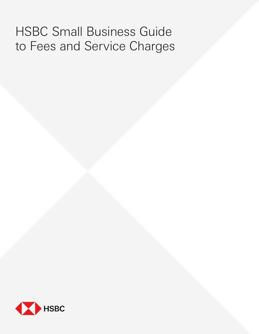# HSBC Small Business Guide to Fees and Service Charges

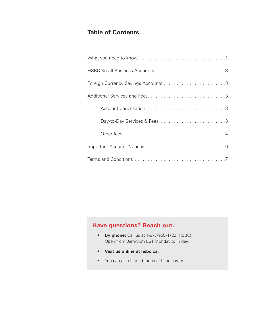# **Table of Contents**

# **Have questions? Reach out.**

- **By phone:** Call us at 1-877-955-4722 (HSBC). Open from 8am-8pm EST Monday to Friday.
- **• Visit us online at hsbc.ca.**
- **•** You can also find a branch at hsbc.ca/atm.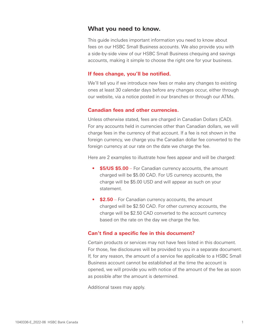# **What you need to know.**

This guide includes important information you need to know about fees on our HSBC Small Business accounts. We also provide you with a side-by-side view of our HSBC Small Business chequing and savings accounts, making it simple to choose the right one for your business.

# **If fees change, you'll be notified.**

We'll tell you if we introduce new fees or make any changes to existing ones at least 30 calendar days before any changes occur, either through our website, via a notice posted in our branches or through our ATMs.

# **Canadian fees and other currencies.**

Unless otherwise stated, fees are charged in Canadian Dollars (CAD). For any accounts held in currencies other than Canadian dollars, we will charge fees in the currency of that account. If a fee is not shown in the foreign currency, we charge you the Canadian dollar fee converted to the foreign currency at our rate on the date we charge the fee.

Here are 2 examples to illustrate how fees appear and will be charged:

- **\$5/US \$5.00** For Canadian currency accounts, the amount charged will be \$5.00 CAD. For US currency accounts, the charge will be \$5.00 USD and will appear as such on your statement.
- **• \$2.50** For Canadian currency accounts, the amount charged will be \$2.50 CAD. For other currency accounts, the charge will be \$2.50 CAD converted to the account currency based on the rate on the day we charge the fee.

# **Can't find a specific fee in this document?**

Certain products or services may not have fees listed in this document. For those, fee disclosures will be provided to you in a separate document. If, for any reason, the amount of a service fee applicable to a HSBC Small Business account cannot be established at the time the account is opened, we will provide you with notice of the amount of the fee as soon as possible after the amount is determined.

Additional taxes may apply.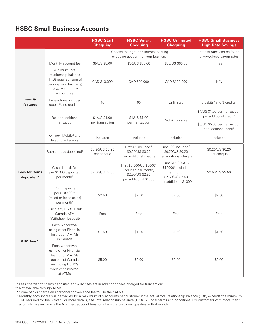# **HSBC Small Business Accounts**

|                                     |                                                                                                                                           | <b>HSBC Start</b><br><b>Chequing</b>                                         | <b>HSBC Smart</b><br><b>Chequing</b>                                                                     | <b>HSBC Unlimited</b><br><b>Chequing</b>                                                                      | <b>HSBC Small Business</b><br><b>High Rate Savings</b>                                               |
|-------------------------------------|-------------------------------------------------------------------------------------------------------------------------------------------|------------------------------------------------------------------------------|----------------------------------------------------------------------------------------------------------|---------------------------------------------------------------------------------------------------------------|------------------------------------------------------------------------------------------------------|
|                                     |                                                                                                                                           | Choose the right non-interest bearing<br>chequing account for your business. |                                                                                                          | Interest rates can be found<br>at www.hsbc.ca/our-rates                                                       |                                                                                                      |
|                                     | Monthly account fee                                                                                                                       | \$5/US \$5.00                                                                | \$30/US \$30.00                                                                                          | \$60/US \$60.00                                                                                               | Free                                                                                                 |
|                                     | Minimum Total<br>relationship balance<br>(TRB) required (sum of<br>personal and business)<br>to waive monthly<br>account fee <sup>#</sup> | CAD \$10,000                                                                 | CAD \$60,000                                                                                             | CAD \$120,000                                                                                                 | N/A                                                                                                  |
| Fees &<br>features                  | Transactions included<br>(debits <sup>2</sup> and credits <sup>1</sup> )                                                                  | 10                                                                           | 60                                                                                                       | Unlimited                                                                                                     | 3 debits <sup>2</sup> and 3 credits <sup>1</sup>                                                     |
|                                     | Fee per additional<br>transaction                                                                                                         | \$1/US \$1.00<br>per transaction                                             | \$1/US \$1.00<br>per transaction                                                                         | Not Applicable                                                                                                | \$1/US \$1.00 per transaction<br>per additional credit <sup>1</sup><br>\$5/US \$5.00 per transaction |
|                                     | Online <sup>3</sup> , Mobile <sup>4</sup> and<br>Telephone banking                                                                        | Included                                                                     | Included                                                                                                 | Included                                                                                                      | per additional debit <sup>2</sup><br>Included                                                        |
| <b>Fees for items</b><br>deposited* | Each cheque deposited <sup>5</sup>                                                                                                        | \$0.20/US \$0.20<br>per cheque                                               | First 45 included <sup>5</sup> ,<br>\$0.20/US \$0.20<br>per additional cheque                            | First 100 included <sup>5</sup> ,<br>\$0.20/US \$0.20<br>per additional cheque                                | \$0.20/US \$0.20<br>per cheque                                                                       |
|                                     | Cash deposit fee<br>per \$1000 deposited<br>per month <sup>5</sup>                                                                        | \$2.50/US \$2.50                                                             | First \$5,000/US \$5000 <sup>5</sup><br>included per month,<br>\$2.50/US \$2.50<br>per additional \$1000 | First \$15,000/US<br>\$15000 <sup>5</sup> included<br>per month,<br>\$2.50/US \$2.50<br>per additional \$1000 | \$2.50/US \$2.50                                                                                     |
|                                     | Coin deposits<br>per \$100.00**<br>(rolled or loose coins)<br>per month <sup>5</sup>                                                      | \$2.50                                                                       | \$2.50                                                                                                   | \$2.50                                                                                                        | \$2.50                                                                                               |
| ATM fees* <sup>†</sup>              | Using any HSBC Bank<br>Canada ATM<br>(Withdraw, Deposit)                                                                                  | Free                                                                         | Free                                                                                                     | Free                                                                                                          | Free                                                                                                 |
|                                     | Each withdrawal<br>using other Financial<br>Institutions' ATMs<br>in Canada                                                               | \$1.50                                                                       | \$1.50                                                                                                   | \$1.50                                                                                                        | \$1.50                                                                                               |
|                                     | Each withdrawal<br>using other Financial<br>Institutions' ATMs<br>outside of Canada<br>(including HSBC's<br>worldwide network<br>of ATMs) | \$5.00                                                                       | \$5.00                                                                                                   | \$5.00                                                                                                        | \$5.00                                                                                               |

\* Fees charged for items deposited and ATM fees are in addition to fees charged for transactions

\*\* Not available through ATMs

**†** Some banks charge an additional convenience fee to use their ATMs.

‡ Monthly account fee will be waived for a maximum of 5 accounts per customer if the actual total relationship balance (TRB) exceeds the minimum TRB required for the waiver. For more details, see Total relationship balance (TRB) 12 under terms and conditions. For customers with more than 5 accounts, we will waive the 5 highest account fees for which the customer qualifies in that month.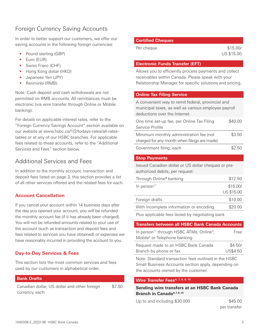# Foreign Currency Saving Accounts

In order to better support our customers, we offer our saving accounts in the following foreign currencies:

- **•** Pound sterling (GBP)
- **•** Euro (EUR)
- **•** Swiss Franc (CHF)
- **•** Hong Kong dollar (HKD)
- **•** Japanese Yen (JPY)
- **•** Renminbi (RMB).

Note: Cash deposit and cash withdrawals are not permitted on RMB accounts. All remittances must be electronic (via wire transfer through Online or Mobile banking).

For details on applicable interest rates, refer to the "Foreign Currency Savings Account" section available on our website at www.hsbc.ca/1/2/todays-rates/all-ratestables or at any of our HSBC branches. For applicable fees related to these accounts, refer to the "Additional Services and Fees" section below.

# Additional Services and Fees

In addition to the monthly account, transaction and deposit fees listed on page 3, this section provides a list of all other services offered and the related fees for each.

# **Account Cancellation**

If you cancel your account within 14 business days after the day you opened your account, you will be refunded the monthly account fee (if it has already been charged). You will not be refunded amounts related to your use of the account (such as transaction and deposit fees and fees related to services you have obtained) or expenses we have reasonably incurred in providing the account to you.

# **Day-to-Day Services & Fees**

This section lists the most common services and fees used by our customers in alphabetical order.

## **Bank Drafts**

Canadian dollar, US dollar and other foreign currency, each \$7.50

## **Certified Cheques**

Per cheque  $$15.00/$ 

US \$15.00

#### **Electronic Funds Transfer (EFT)**

Allows you to efficiently process payments and collect receivables within Canada. Please speak with your Relationship Manager for specific solutions and pricing.

## **Online Tax Filing Service**

| A convenient way to remit federal, provincial and<br>municipal taxes, as well as various employee payroll<br>deductions over the Internet |         |
|-------------------------------------------------------------------------------------------------------------------------------------------|---------|
| One time set-up fee, per Online Tax Filing<br>Service Profile                                                                             | \$40.00 |
| Minimum monthly administration fee (not<br>charged for any month when filings are made)                                                   | \$3.50  |
| Government filing, each                                                                                                                   | \$2.50  |
| <b>Stop Payments</b>                                                                                                                      |         |

Issued Canadian dollar or US dollar cheques or preauthorized debits, per request:

| Through Online <sup>3</sup> banking     | \$12.50    |
|-----------------------------------------|------------|
| In person $11$                          | \$15.00/   |
|                                         | US \$15.00 |
| Foreign drafts                          | \$10.00    |
| With incomplete information or encoding | \$20.00    |
|                                         |            |

Plus applicable fees levied by negotiating bank

| <b>Transfers between all HSBC Bank Canada Accounts</b>           |          |
|------------------------------------------------------------------|----------|
| In person <sup>11</sup> through HSBC ATMs, Online <sup>3</sup> , | Free     |
| Mobile <sup>4</sup> or Telephone banking                         |          |
| Request made to an HSBC Bank Canada                              | \$4.50/  |
| Branch by phone or fax                                           | US\$4.50 |
|                                                                  |          |

Note: Standard transaction fees outlined in the HSBC Small Business Accounts section apply, depending on the accounts owned by the customer.

## Wire Transfer Fees<sup>6, 7, 8, 9, 10</sup>

**Sending wire transfers at an HSBC Bank Canada Branch in Canada6,7,8,10**

Up to and including \$30,000 \$45.00

per transfer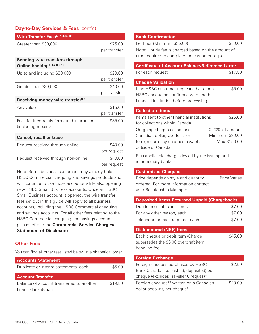# **Day-to-Day Services & Fees (cont'd)**

| Wire Transfer Fees <sup>6, 7, 8, 9, 10</sup>                                                        |                         |  |
|-----------------------------------------------------------------------------------------------------|-------------------------|--|
| Greater than \$30,000                                                                               | \$75.00<br>per transfer |  |
| Sending wire transfers through<br>Online banking <sup>3,6,7,8,9,10</sup>                            |                         |  |
| Up to and including \$30,000                                                                        | \$20.00<br>per transfer |  |
| Greater than \$30,000                                                                               | \$40.00<br>per transfer |  |
| Receiving money wire transfer <sup>8,9</sup>                                                        |                         |  |
| Any value                                                                                           | \$15.00<br>per transfer |  |
| Fees for incorrectly formatted instructions<br>(including repairs)                                  | \$35.00                 |  |
| <b>Cancel, recall or trace</b>                                                                      |                         |  |
| Request received through online                                                                     | \$40.00<br>per request  |  |
| Request received through non-online                                                                 | \$40.00<br>per request  |  |
| Note: Some business customers may already hold<br>HSBC Commercial chequing and savings products and |                         |  |

will continue to use those accounts while also opening new HSBC Small Business accounts. Once an HSBC Small Business account is opened, the wire transfer fees set out in this guide will apply to all business accounts, including the HSBC Commercial chequing and savings accounts. For all other fees relating to the HSBC Commercial chequing and savings accounts, please refer to the **Commercial Service Charges/ Statement of Disclosure**.

# **Other Fees**

You can find all other fees listed below in alphabetical order.

| <b>Accounts Statement</b>                 |         |
|-------------------------------------------|---------|
| Duplicate or interim statements, each     | \$5.00  |
| <b>Account Transfer</b>                   |         |
| Balance of account transferred to another | \$19.50 |

financial institution

| <b>Bank Confirmation</b>                               |                    |  |
|--------------------------------------------------------|--------------------|--|
| Per hour (Minimum \$35.00)                             | \$50.00            |  |
| Note: Hourly fee is charged based on the amount of     |                    |  |
| time required to complete the customer request.        |                    |  |
| <b>Certificate of Account Balance/Reference Letter</b> |                    |  |
| For each request                                       | \$17.50            |  |
| <b>Cheque Validation</b>                               |                    |  |
| If an HSBC customer requests that a non-               | \$5.00             |  |
| HSBC cheque be confirmed with another                  |                    |  |
| financial institution before processing                |                    |  |
| <b>Collection Items</b>                                |                    |  |
| Items sent to other financial institutions             | \$25.00            |  |
| for collections within Canada                          |                    |  |
| Outgoing cheque collections                            | $0.20\%$ of amount |  |
| Canadian dollar, US dollar or                          | Minimum-\$30.00    |  |
| foreign currency cheques payable                       | Max-\$150.00       |  |
| outside of Canada                                      |                    |  |
| Plus applicable charges levied by the issuing and      |                    |  |
| intermediary bank(s)                                   |                    |  |

## **Customized Cheques**

Price depends on style and quantity ordered. For more information contact your Relationship Manager

| <b>Deposited Items Returned Unpaid (Chargebacks)</b> |        |  |
|------------------------------------------------------|--------|--|
| Due to non-sufficient funds                          | \$7.00 |  |
| For any other reason, each                           | \$7.00 |  |
| Telephone or fax if required, each                   | \$7.00 |  |
| Dichanourad (NICE) Itame                             |        |  |

## **Dishonoured (NSF) Items**

Each cheque or debit item (Charge supersedes the \$5.00 overdraft item handling fee)

| <b>Foreign Exchange</b>                  |         |
|------------------------------------------|---------|
| Foreign cheques purchased by HSBC        | \$2.50  |
| Bank Canada (i.e. cashed, deposited) per |         |
| cheque (excludes Traveller Cheques)*     |         |
| Foreign cheques** written on a Canadian  | \$20.00 |
| dollar account, per cheque*              |         |

Price Varies

\$45.00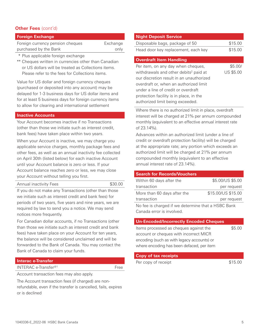# **Other Fees** (cont'd)

| <b>Foreign Exchange</b>          |          |
|----------------------------------|----------|
| Foreign currency pension cheques | Exchange |
| purchased by the Bank            | only     |
|                                  |          |

\* Plus applicable foreign exchange

\*\* Cheques written in currencies other than Canadian or US dollars will be treated as Collections items. Please refer to the fees for Collections items.

Value for US dollar and foreign currency cheques (purchased or deposited into any account) may be delayed for 1-3 business days for US dollar items and for at least 5 business days for foreign currency items to allow for clearing and international settlement

#### **Inactive Accounts**

Your Account becomes inactive if no Transactions (other than those we initiate such as interest credit, bank fees) have taken place within two years.

When your Account is inactive, we may charge you applicable service charges, monthly package fees and other fees, as well as an annual inactivity fee collected on April 30th (listed below) for each inactive Account until your Account balance is zero or less. If your Account balance reaches zero or less, we may close your Account without telling you first.

Annual inactivity Fees \$30.00

If you do not make any Transactions (other than those we initiate such as interest credit and bank fees) for periods of two years, five years and nine years, we are required by law to send you a notice. We may send notices more frequently.

For Canadian dollar accounts, if no Transactions (other than those we initiate such as interest credit and bank fees) have taken place on your Account for ten years, the balance will be considered unclaimed and will be forwarded to the Bank of Canada. You may contact the Bank of Canada to claim your funds.

#### **Interac e-Transfer**

INTERAC e-Transfer<sup>@1</sup> Free

Account transaction fees may also apply.

The Account transaction fees (if charged) are nonrefundable, even if the transfer is cancelled, fails, expires or is declined

| <b>Night Deposit Service</b>        |         |
|-------------------------------------|---------|
| Disposable bags, package of 50      | \$15.00 |
| Head door key replacement, each key | \$15.00 |

#### **Overdraft Item Handling**

Per item, on any day when cheques, withdrawals and other debits<sup>2</sup> paid at our discretion result in an unauthorized overdraft or, when an authorized limit under a line of credit or overdraft protection facility is in place, in the authorized limit being exceeded.

Where there is no authorized limit in place, overdraft interest will be charged at 21% per annum compounded monthly (equivalent to an effective annual interest rate of 23.14%).

Advances within an authorized limit (under a line of credit or overdraft protection facility) will be charged at the appropriate rate; any portion which exceeds an authorized limit will be charged at 21% per annum compounded monthly (equivalent to an effective annual interest rate of 23.14%).

## **Search for Records/Vouchers**

| Within 60 days after the                           | \$5.00/US \$5.00   |  |
|----------------------------------------------------|--------------------|--|
| transaction                                        | per request        |  |
| More than 60 days after the                        | \$15.00/US \$15.00 |  |
| transaction                                        | per request        |  |
| No fee is charged if we determine that a HSBC Bank |                    |  |
| Canada error is involved.                          |                    |  |

#### **Un-Encoded/Incorrectly Encoded Cheques**

Items processed as cheques against the account or cheques with incorrect MICR encoding (such as with legacy accounts) or where encoding has been defaced, per item \$5.00

\$5.00/ US \$5.00

## **Copy of tax receipts**

Per copy of receipt  $$15.00$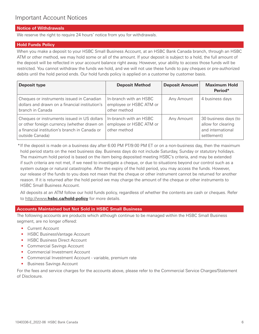## **Notice of Withdrawals**

We reserve the right to require 24 hours' notice from you for withdrawals.

## **Hold Funds Policy**

When you make a deposit to your HSBC Small Business Account, at an HSBC Bank Canada branch, through an HSBC ATM or other method, we may hold some or all of the amount. If your deposit is subject to a hold, the full amount of the deposit will be reflected in your account balance right away. However, your ability to access those funds will be restricted. You cannot withdraw the funds we hold, and we will not use these funds to pay cheques or pre-authorized debits until the hold period ends. Our hold funds policy is applied on a customer by customer basis.

| <b>Deposit type</b>                                                                                                                                            | <b>Deposit Method</b>                                             | <b>Deposit Amount</b> | <b>Maximum Hold</b><br>Period*                                                 |
|----------------------------------------------------------------------------------------------------------------------------------------------------------------|-------------------------------------------------------------------|-----------------------|--------------------------------------------------------------------------------|
| Cheques or instruments issued in Canadian<br>dollars and drawn on a financial institution's<br>branch in Canada                                                | In-branch with an HSBC<br>employee or HSBC ATM or<br>other method | Any Amount            | 4 business days                                                                |
| Cheques or instruments issued in US dollars<br>or other foreign currency (whether drawn on<br>a financial institution's branch in Canada or<br>outside Canada) | In-branch with an HSBC<br>employee or HSBC ATM or<br>other method | Any Amount            | 30 business days (to<br>allow for clearing<br>and international<br>settlement) |

\* If the deposit is made on a business day after 6:00 PM PT/9:00 PM ET or on a non-business day, then the maximum hold period starts on the next business day. Business days do not include Saturday, Sunday or statutory holidays. The maximum hold period is based on the item being deposited meeting HSBC's criteria, and may be extended if such criteria are not met, if we need to investigate a cheque, or due to situations beyond our control such as a system outage or natural catastrophe. After the expiry of the hold period, you may access the funds. However, our release of the funds to you does not mean that the cheque or other instrument cannot be returned for another reason. If it is returned after the hold period we may charge the amount of the cheque or other instruments to HSBC Small Business Account.

All deposits at an ATM follow our hold funds policy, regardless of whether the contents are cash or cheques. Refer to http://www.**hsbc.ca/hold-policy** for more details.

## **Accounts Maintained but Not Sold in HSBC Small Business**

The following accounts are products which although continue to be managed within the HSBC Small Business segment, are no longer offered:

- Current Account
- HSBC BusinessVantage Account
- HSBC Business Direct Account
- Commercial Savings Account
- Commercial Investment Account
- Commercial Investment Account variable, premium rate
- Business Savings Account

For the fees and service charges for the accounts above, please refer to the Commercial Service Charges/Statement of Disclosure.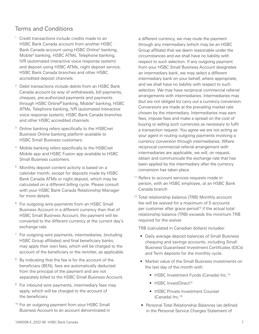# Terms and Conditions

- <sup>1</sup> Credit transactions include credits made to an HSBC Bank Canada account from another HSBC Bank Canada account using HSBC Online<sup>3</sup> banking, Mobile4 banking, HSBC ATMs, Telephone banking, IVR (automated interactive voice response system) and deposit using HSBC ATMs, night deposit service, HSBC Bank Canada branches and other HSBC accredited deposit channels.
- <sup>2</sup> Debit transactions include debits from an HSBC Bank Canada account by way of withdrawals, bill payments, cheques, pre-authorized payments and payments through HSBC Online**3** banking, Mobile4 banking, HSBC ATMs, Telephone banking, IVR (automated interactive voice response system), HSBC Bank Canada branches and other HSBC accredited channels.
- <sup>3</sup> Online banking refers specifically to the HSBCnet Business Online banking platform available to HSBC Small Business customers.
- <sup>4</sup> Mobile banking refers specifically to the HSBCnet Mobile app and HSBC Fusion app available to HSBC Small Business customers.
- <sup>5</sup> Monthly deposit content activity is based on a calendar month, except for deposits made by HSBC Bank Canada ATMs or night deposit, which may be calculated on a different billing cycle. Please consult with your HSBC Bank Canada Relationship Manager for more details.
- <sup>6</sup> For outgoing wire payments from an HSBC Small Business Account in a different currency than that of HSBC Small Business Account, the payment will be converted to the different currency at the current day's exchange rate.
- $7$  For outgoing wire payments, intermediaries, (including HSBC Group affiliates) and final beneficiary banks, may apply their own fees, which will be charged to the account of the beneficiary or the remitter, as applicable.
- <sup>8</sup> By indicating that the fee is for the account of the beneficiary (BEN), fees are automatically deducted from the principal of the payment and are not separately billed to the HSBC Small Business Account.
- <sup>9</sup> For inbound wire payments, intermediary fees may apply, which will be charged to the account of the beneficiary.
- <sup>10</sup> For an outgoing payment from your HSBC Small Business Account to an account denominated in

a different currency, we may route the payment through any intermediary (which may be an HSBC Group affiliate) that we deem reasonable under the circumstances and we shall have no liability with respect to such selection. If any outgoing payment from your HSBC Small Business Account designates an intermediary bank, we may select a different intermediary bank on your behalf, where appropriate, and we shall have no liability with respect to such selection. We may have reciprocal commercial referral arrangements with intermediaries. Intermediaries may (but are not obliged to) carry out a currency conversion. Conversions are made at the prevailing market rate chosen by the intermediary. Intermediaries may earn fees, impose fees and make a spread on the cost of buying or selling such currencies as necessary to fulfil a transaction request. You agree we are not acting as your agent in routing outgoing payments involving a currency conversion through intermediaries. Where reciprocal commercial referral arrangement with intermediaries are applicable, we will, on request, obtain and communicate the exchange rate that has been applied by the intermediary after the currency conversion has taken place.

- <sup>11</sup> Refers to account services requests made in person, with an HSBC employee, at an HSBC Bank Canada branch
- <sup>12</sup> Total relationship balance (TRB) Monthly account fee will be waived for a maximum of 5 accounts per customer after grace period<sup>13</sup> if the actual total relationship balance (TRB) exceeds the minimum TRB required for the waiver.

TRB (calculated in Canadian dollars) includes:

- Daily average deposit balances of Small Business chequing and savings accounts, including Small Business Guaranteed Investment Certificates (GICs) and Term deposits for the monthly cycle.
- Market value of the Small Business investments on the last day of the month with:
	- HSBC Investment Funds (Canada) Inc. 14
	- HSBC InvestDirect<sup>15</sup>
	- HSBC Private Investment Counsel (Canada) Inc. 16
- Personal Total Relationship Balances (as defined in the Personal Service Charges Statement of